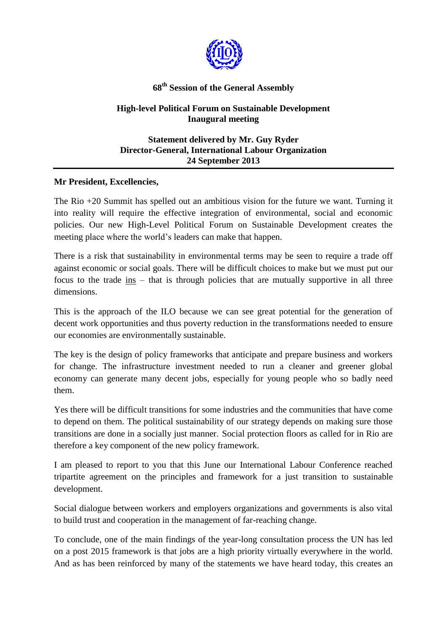

## **68 th Session of the General Assembly**

## **High-level Political Forum on Sustainable Development Inaugural meeting**

## **Statement delivered by Mr. Guy Ryder Director-General, International Labour Organization 24 September 2013**

## **Mr President, Excellencies,**

The Rio +20 Summit has spelled out an ambitious vision for the future we want. Turning it into reality will require the effective integration of environmental, social and economic policies. Our new High-Level Political Forum on Sustainable Development creates the meeting place where the world's leaders can make that happen.

There is a risk that sustainability in environmental terms may be seen to require a trade off against economic or social goals. There will be difficult choices to make but we must put our focus to the trade ins – that is through policies that are mutually supportive in all three dimensions.

This is the approach of the ILO because we can see great potential for the generation of decent work opportunities and thus poverty reduction in the transformations needed to ensure our economies are environmentally sustainable.

The key is the design of policy frameworks that anticipate and prepare business and workers for change. The infrastructure investment needed to run a cleaner and greener global economy can generate many decent jobs, especially for young people who so badly need them.

Yes there will be difficult transitions for some industries and the communities that have come to depend on them. The political sustainability of our strategy depends on making sure those transitions are done in a socially just manner. Social protection floors as called for in Rio are therefore a key component of the new policy framework.

I am pleased to report to you that this June our International Labour Conference reached tripartite agreement on the principles and framework for a just transition to sustainable development.

Social dialogue between workers and employers organizations and governments is also vital to build trust and cooperation in the management of far-reaching change.

To conclude, one of the main findings of the year-long consultation process the UN has led on a post 2015 framework is that jobs are a high priority virtually everywhere in the world. And as has been reinforced by many of the statements we have heard today, this creates an